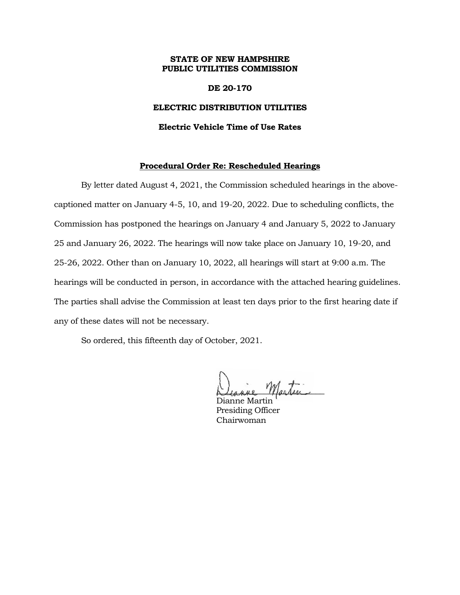## **STATE OF NEW HAMPSHIRE PUBLIC UTILITIES COMMISSION**

## **DE 20-170**

### **ELECTRIC DISTRIBUTION UTILITIES**

#### **Electric Vehicle Time of Use Rates**

## **Procedural Order Re: Rescheduled Hearings**

By letter dated August 4, 2021, the Commission scheduled hearings in the abovecaptioned matter on January 4-5, 10, and 19-20, 2022. Due to scheduling conflicts, the Commission has postponed the hearings on January 4 and January 5, 2022 to January 25 and January 26, 2022. The hearings will now take place on January 10, 19-20, and 25-26, 2022. Other than on January 10, 2022, all hearings will start at 9:00 a.m. The hearings will be conducted in person, in accordance with the attached hearing guidelines. The parties shall advise the Commission at least ten days prior to the first hearing date if any of these dates will not be necessary.

So ordered, this fifteenth day of October, 2021.

motor

Dianne Martin Presiding Officer Chairwoman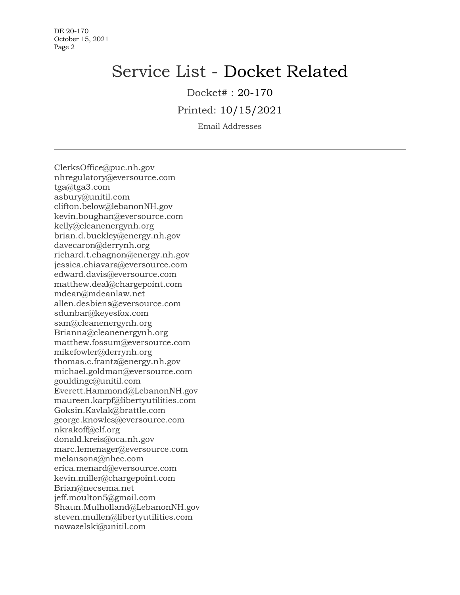# Service List - Docket Related

Docket# : 20-170

Printed: 10/15/2021

Email Addresses

ClerksOffice@puc.nh.gov nhregulatory@eversource.com tga@tga3.com asbury@unitil.com clifton.below@lebanonNH.gov kevin.boughan@eversource.com kelly@cleanenergynh.org brian.d.buckley@energy.nh.gov davecaron@derrynh.org richard.t.chagnon@energy.nh.gov jessica.chiavara@eversource.com edward.davis@eversource.com matthew.deal@chargepoint.com mdean@mdeanlaw.net allen.desbiens@eversource.com sdunbar@keyesfox.com sam@cleanenergynh.org Brianna@cleanenergynh.org matthew.fossum@eversource.com mikefowler@derrynh.org thomas.c.frantz@energy.nh.gov michael.goldman@eversource.com gouldingc@unitil.com Everett.Hammond@LebanonNH.gov maureen.karpf@libertyutilities.com Goksin.Kavlak@brattle.com george.knowles@eversource.com nkrakoff@clf.org donald.kreis@oca.nh.gov marc.lemenager@eversource.com melansona@nhec.com erica.menard@eversource.com kevin.miller@chargepoint.com Brian@necsema.net jeff.moulton5@gmail.com Shaun.Mulholland@LebanonNH.gov steven.mullen@libertyutilities.com nawazelski@unitil.com